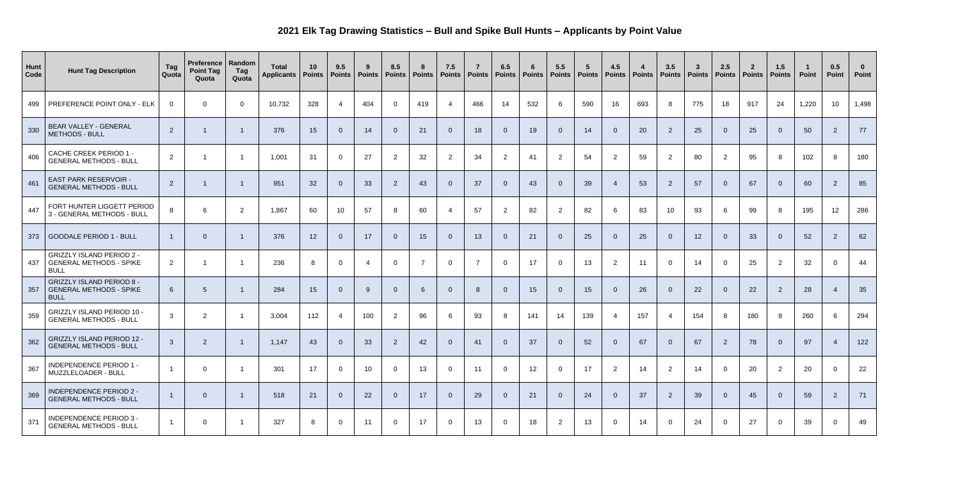## **2021 Elk Tag Drawing Statistics – Bull and Spike Bull Hunts – Applicants by Point Value**

| Hunt<br>Code | <b>Hunt Tag Description</b>                                                       | Tag<br>Quota   | Preference   Random<br><b>Point Tag</b><br>Quota | Tag<br>Quota   | <b>Total</b><br>Applicants | 10<br>Points    | 9.5<br><b>Points</b> | 9<br><b>Points</b> | 8.5<br><b>Points</b> | 8<br><b>Points</b> | 7.5<br><b>Points</b> | <b>Points</b> | 6.5<br><b>Points</b> | - 6<br>Points | 5.5<br><b>Points</b> | $5\overline{5}$<br><b>Points</b> | 4.5<br>Points   Points | $\overline{\mathbf{4}}$ | 3.5<br><b>Points</b> | $\mathbf{3}$<br><b>Points</b> | 2.5<br><b>Points</b> | $\mathbf{2}$<br><b>Points</b> | 1.5<br><b>Points</b> | Point | 0.5<br>Point     | $\bf{0}$<br>Point |
|--------------|-----------------------------------------------------------------------------------|----------------|--------------------------------------------------|----------------|----------------------------|-----------------|----------------------|--------------------|----------------------|--------------------|----------------------|---------------|----------------------|---------------|----------------------|----------------------------------|------------------------|-------------------------|----------------------|-------------------------------|----------------------|-------------------------------|----------------------|-------|------------------|-------------------|
| 499          | PREFERENCE POINT ONLY - ELK                                                       | $\overline{0}$ | $\Omega$                                         | $\overline{0}$ | 10,732                     | 328             | $\overline{4}$       | 404                | $\overline{0}$       | 419                | $\overline{4}$       | 466           | 14                   | 532           | 6                    | 590                              | 16                     | 693                     | 8                    | 775                           | 18                   | 917                           | 24                   | 1,220 | 10               | 1,498             |
| 330          | <b>BEAR VALLEY - GENERAL</b><br><b>METHODS - BULL</b>                             | $\vert$ 2      |                                                  |                | 376                        | 15 <sub>1</sub> | 0                    | 14                 | $\overline{0}$       | 21                 | $\overline{0}$       | 18            | $\overline{0}$       | 19            | $\overline{0}$       | 14                               |                        | 20                      | $\overline{2}$       | 25                            | $\overline{0}$       | 25                            | $\overline{0}$       | 50    | $\overline{2}$   | 77                |
| 406          | CACHE CREEK PERIOD 1 -<br><b>GENERAL METHODS - BULL</b>                           | $\overline{2}$ |                                                  |                | 1,001                      | 31              | $\Omega$             | 27                 | 2                    | 32                 | 2                    | 34            | $\overline{2}$       | 41            | $\overline{2}$       | 54                               | $\overline{2}$         | 59                      | 2                    | 80                            | $\overline{2}$       | 95                            | 8                    | 102   | 8                | 180               |
| 461          | <b>EAST PARK RESERVOIR -</b><br><b>GENERAL METHODS - BULL</b>                     | $\overline{2}$ |                                                  |                | 951                        | 32              |                      | 33                 | 2                    | 43                 | $\overline{0}$       | 37            | $\overline{0}$       | 43            | $\overline{0}$       | 39                               |                        | 53                      | $\overline{2}$       | 57                            | $\overline{0}$       | 67                            | $\overline{0}$       | 60    | $\overline{2}$   | 85                |
| 447          | FORT HUNTER LIGGETT PERIOD<br>3 - GENERAL METHODS - BULL                          | 8              | 6                                                | $\overline{2}$ | 1,867                      | 60              | 10                   | 57                 | 8                    | 60                 | 4                    | 57            | $\overline{2}$       | 82            | $\overline{2}$       | 82                               |                        | 83                      | 10 <sup>°</sup>      | 93                            | $6^{\circ}$          | 99                            | 8                    | 195   | 12               | 286               |
| 373          | <b>GOODALE PERIOD 1 - BULL</b>                                                    |                |                                                  |                | 376                        | 12 <sup>2</sup> | 0                    | 17                 | $\overline{0}$       | 15                 | $\overline{0}$       | 13            | $\overline{0}$       | 21            | $\Omega$             | 25                               |                        | 25                      | - 0                  | 12                            |                      | 33                            | $\overline{0}$       | 52    | $\overline{2}$   | 62                |
| 437          | <b>GRIZZLY ISLAND PERIOD 2 -</b><br><b>GENERAL METHODS - SPIKE</b><br><b>BULL</b> | $\overline{2}$ |                                                  |                | 236                        | 8               | $\Omega$             | $\overline{4}$     | $\mathbf 0$          | $\overline{ }$     | $\Omega$             | 7             | $\overline{0}$       | 17            | $\mathbf 0$          | 13                               | $\overline{2}$         | 11                      | $\Omega$             | 14                            | $\overline{0}$       | 25                            | $\overline{2}$       | 32    | $\overline{0}$   | 44                |
| 357          | <b>GRIZZLY ISLAND PERIOD 8 -</b><br><b>GENERAL METHODS - SPIKE</b><br><b>BULL</b> | $6^{\circ}$    | 5                                                |                | 284                        | 15              |                      | 9                  | $\overline{0}$       | 6                  | 0                    | 8             | $\overline{0}$       | 15            | $\overline{0}$       | 15                               |                        | 26                      | - 0                  | 22                            | $\overline{0}$       | 22                            | $\overline{2}$       | 28    | $\boldsymbol{A}$ | 35                |
| 359          | <b>GRIZZLY ISLAND PERIOD 10 -</b><br><b>GENERAL METHODS - BULL</b>                | $\mathbf{3}$   |                                                  |                | 3,004                      | 112             | $\overline{4}$       | 100                | $\overline{2}$       | 96                 | 6                    | 93            | 8                    | 141           | 14                   | 139                              |                        | 157                     |                      | 154                           | 8                    | 180                           | 8                    | 260   | $6\overline{6}$  | 294               |
| 362          | <b>GRIZZLY ISLAND PERIOD 12 -</b><br><b>GENERAL METHODS - BULL</b>                | $\mathbf{3}$   | $\overline{2}$                                   |                | 1,147                      | 43              |                      | 33                 | $\overline{2}$       | 42                 | $\overline{0}$       | 41            | $\overline{0}$       | 37            | $\overline{0}$       | 52                               | $\Omega$               | 67                      | $\overline{0}$       | 67                            | $\overline{2}$       | 78                            | $\overline{0}$       | 97    | $\overline{4}$   | 122               |
| 367          | <b>INDEPENDENCE PERIOD 1 -</b><br>MUZZLELOADER - BULL                             |                | $\Omega$                                         |                | 301                        | 17              | $\overline{0}$       | 10 <sup>°</sup>    | $\overline{0}$       | 13                 | $\overline{0}$       | 11            | $\overline{0}$       | 12            | $\mathbf 0$          | 17                               | $\overline{2}$         | 14                      | $\overline{2}$       | 14                            | $\overline{0}$       | 20                            | $\overline{2}$       | 20    | $\overline{0}$   | 22                |
| 369          | <b>INDEPENDENCE PERIOD 2 -</b><br><b>GENERAL METHODS - BULL</b>                   | $\mathbf 1$    | $\overline{0}$                                   |                | 518                        | 21              | $\overline{0}$       | 22                 | $\overline{0}$       | 17                 | $\overline{0}$       | 29            | $\overline{0}$       | 21            | $\overline{0}$       | 24                               | $\overline{0}$         | 37                      | $\overline{2}$       | 39                            | $\overline{0}$       | 45                            | $\overline{0}$       | 59    | $\overline{2}$   | 71                |
| 371          | <b>INDEPENDENCE PERIOD 3 -</b><br><b>GENERAL METHODS - BULL</b>                   |                | 0                                                |                | 327                        | 8               | $\overline{0}$       | 11                 | $\overline{0}$       | 17                 | $\overline{0}$       | 13            | $\overline{0}$       | 18            | $\overline{2}$       | 13                               | $\overline{0}$         | 14                      | $\overline{0}$       | 24                            | $\overline{0}$       | 27                            | $\overline{0}$       | 39    | $\overline{0}$   | 49                |